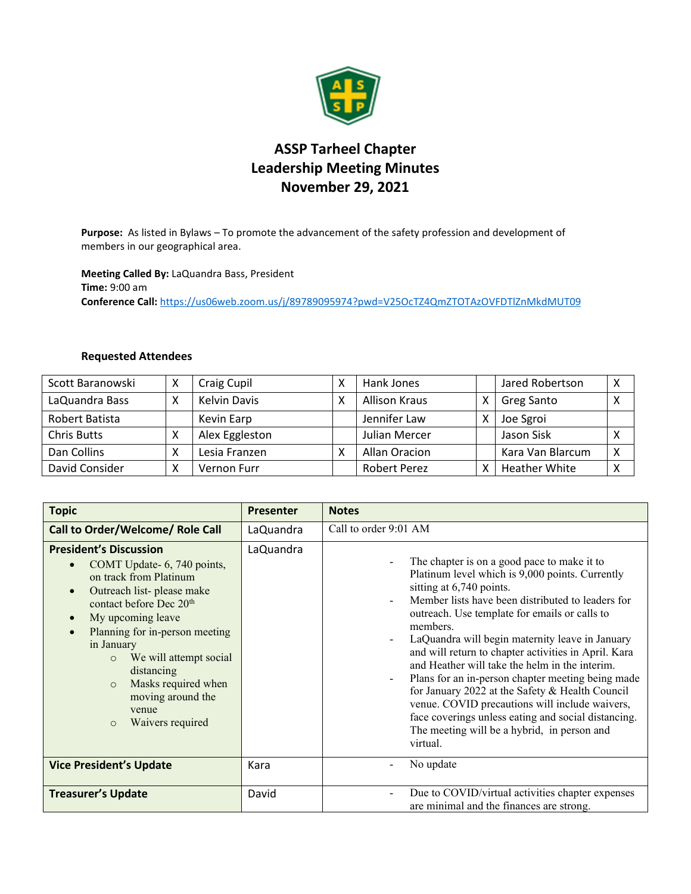

## **ASSP Tarheel Chapter Leadership Meeting Minutes November 29, 2021**

**Purpose:** As listed in Bylaws – To promote the advancement of the safety profession and development of members in our geographical area.

**Meeting Called By:** LaQuandra Bass, President **Time:** 9:00 am **Conference Call:** <https://us06web.zoom.us/j/89789095974?pwd=V25OcTZ4QmZTOTAzOVFDTlZnMkdMUT09>

## **Requested Attendees**

| Scott Baranowski   | x           | Craig Cupil         |   | Hank Jones          | Jared Robertson      | Χ |
|--------------------|-------------|---------------------|---|---------------------|----------------------|---|
| LaQuandra Bass     | $\check{ }$ | <b>Kelvin Davis</b> | x | Allison Kraus       | <b>Greg Santo</b>    | X |
| Robert Batista     |             | Kevin Earp          |   | Jennifer Law        | Joe Sgroi            |   |
| <b>Chris Butts</b> | х           | Alex Eggleston      |   | Julian Mercer       | Jason Sisk           | x |
| Dan Collins        | Χ           | Lesia Franzen       | x | Allan Oracion       | Kara Van Blarcum     | X |
| David Consider     | Χ           | Vernon Furr         |   | <b>Robert Perez</b> | <b>Heather White</b> | Χ |

| <b>Topic</b>                                                                                                                                                                                                                                                                                                                                                                                                                          | <b>Presenter</b> | <b>Notes</b>                                                                                                                                                                                                                                                                                                                                                                                                                                                                                                                                                                                                                                                                          |
|---------------------------------------------------------------------------------------------------------------------------------------------------------------------------------------------------------------------------------------------------------------------------------------------------------------------------------------------------------------------------------------------------------------------------------------|------------------|---------------------------------------------------------------------------------------------------------------------------------------------------------------------------------------------------------------------------------------------------------------------------------------------------------------------------------------------------------------------------------------------------------------------------------------------------------------------------------------------------------------------------------------------------------------------------------------------------------------------------------------------------------------------------------------|
| Call to Order/Welcome/ Role Call                                                                                                                                                                                                                                                                                                                                                                                                      | LaQuandra        | Call to order 9:01 AM                                                                                                                                                                                                                                                                                                                                                                                                                                                                                                                                                                                                                                                                 |
| <b>President's Discussion</b><br>COMT Update- 6, 740 points,<br>$\bullet$<br>on track from Platinum<br>Outreach list-please make<br>$\bullet$<br>contact before Dec 20 <sup>th</sup><br>My upcoming leave<br>$\bullet$<br>Planning for in-person meeting<br>$\bullet$<br>in January<br>We will attempt social<br>$\circ$<br>distancing<br>Masks required when<br>$\circ$<br>moving around the<br>venue<br>Waivers required<br>$\circ$ | LaQuandra        | The chapter is on a good pace to make it to<br>Platinum level which is 9,000 points. Currently<br>sitting at 6,740 points.<br>Member lists have been distributed to leaders for<br>outreach. Use template for emails or calls to<br>members.<br>LaQuandra will begin maternity leave in January<br>and will return to chapter activities in April. Kara<br>and Heather will take the helm in the interim.<br>Plans for an in-person chapter meeting being made<br>for January 2022 at the Safety & Health Council<br>venue. COVID precautions will include waivers,<br>face coverings unless eating and social distancing.<br>The meeting will be a hybrid, in person and<br>virtual. |
| <b>Vice President's Update</b>                                                                                                                                                                                                                                                                                                                                                                                                        | Kara             | No update                                                                                                                                                                                                                                                                                                                                                                                                                                                                                                                                                                                                                                                                             |
| <b>Treasurer's Update</b>                                                                                                                                                                                                                                                                                                                                                                                                             | David            | Due to COVID/virtual activities chapter expenses<br>are minimal and the finances are strong.                                                                                                                                                                                                                                                                                                                                                                                                                                                                                                                                                                                          |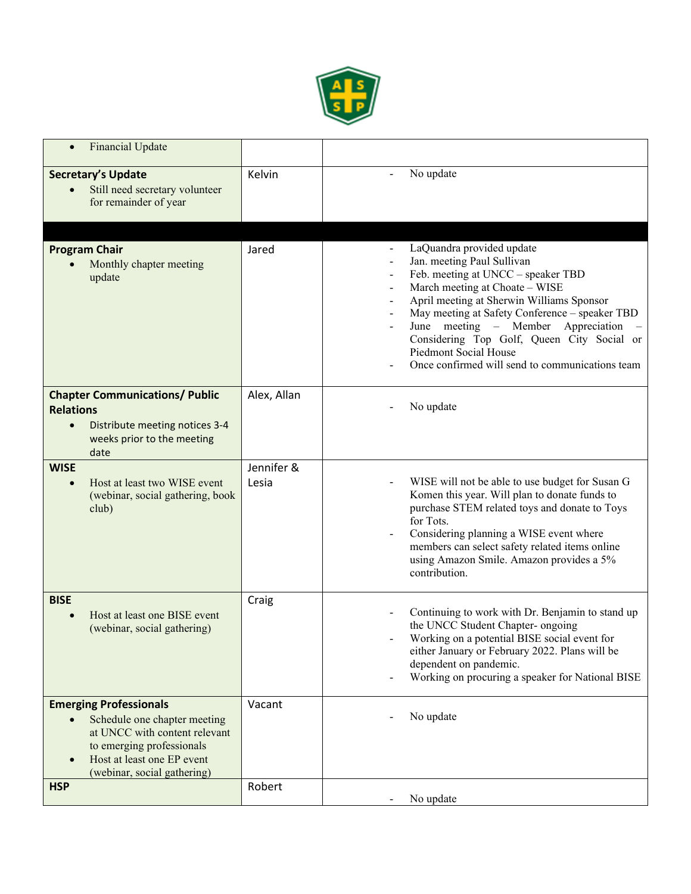

| <b>Financial Update</b>                                                                                                                                                                                            |                     |                                                                                                                                                                                                                                                                                                                                                                                                   |
|--------------------------------------------------------------------------------------------------------------------------------------------------------------------------------------------------------------------|---------------------|---------------------------------------------------------------------------------------------------------------------------------------------------------------------------------------------------------------------------------------------------------------------------------------------------------------------------------------------------------------------------------------------------|
| <b>Secretary's Update</b><br>Still need secretary volunteer<br>for remainder of year                                                                                                                               | Kelvin              | No update                                                                                                                                                                                                                                                                                                                                                                                         |
|                                                                                                                                                                                                                    |                     |                                                                                                                                                                                                                                                                                                                                                                                                   |
| <b>Program Chair</b><br>Monthly chapter meeting<br>update                                                                                                                                                          | Jared               | LaQuandra provided update<br>Jan. meeting Paul Sullivan<br>Feb. meeting at UNCC - speaker TBD<br>March meeting at Choate - WISE<br>April meeting at Sherwin Williams Sponsor<br>May meeting at Safety Conference - speaker TBD<br>June meeting – Member<br>Appreciation<br>Considering Top Golf, Queen City Social or<br>Piedmont Social House<br>Once confirmed will send to communications team |
| <b>Chapter Communications/ Public</b><br><b>Relations</b><br>Distribute meeting notices 3-4<br>$\bullet$<br>weeks prior to the meeting<br>date                                                                     | Alex, Allan         | No update                                                                                                                                                                                                                                                                                                                                                                                         |
| <b>WISE</b><br>Host at least two WISE event<br>$\bullet$<br>(webinar, social gathering, book<br>club)                                                                                                              | Jennifer &<br>Lesia | WISE will not be able to use budget for Susan G<br>Komen this year. Will plan to donate funds to<br>purchase STEM related toys and donate to Toys<br>for Tots.<br>Considering planning a WISE event where<br>members can select safety related items online<br>using Amazon Smile. Amazon provides a 5%<br>contribution.                                                                          |
| <b>BISE</b><br>Host at least one BISE event<br>$\bullet$<br>(webinar, social gathering)                                                                                                                            | Craig               | Continuing to work with Dr. Benjamin to stand up<br>the UNCC Student Chapter- ongoing<br>Working on a potential BISE social event for<br>either January or February 2022. Plans will be<br>dependent on pandemic.<br>Working on procuring a speaker for National BISE                                                                                                                             |
| <b>Emerging Professionals</b><br>Schedule one chapter meeting<br>$\bullet$<br>at UNCC with content relevant<br>to emerging professionals<br>Host at least one EP event<br>$\bullet$<br>(webinar, social gathering) | Vacant              | No update                                                                                                                                                                                                                                                                                                                                                                                         |
| <b>HSP</b>                                                                                                                                                                                                         | Robert              | No update                                                                                                                                                                                                                                                                                                                                                                                         |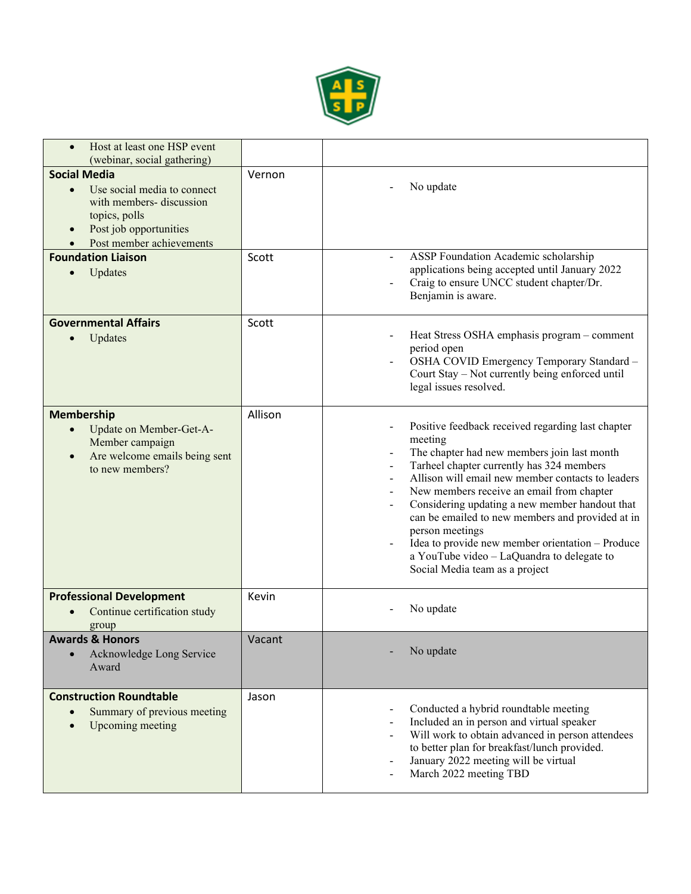

| Host at least one HSP event<br>(webinar, social gathering)                                                                                                                      |         |                                                                                                                                                                                                                                                                                                                                                                                                                                                                                                                         |
|---------------------------------------------------------------------------------------------------------------------------------------------------------------------------------|---------|-------------------------------------------------------------------------------------------------------------------------------------------------------------------------------------------------------------------------------------------------------------------------------------------------------------------------------------------------------------------------------------------------------------------------------------------------------------------------------------------------------------------------|
| <b>Social Media</b><br>Use social media to connect<br>$\bullet$<br>with members- discussion<br>topics, polls<br>Post job opportunities<br>$\bullet$<br>Post member achievements | Vernon  | No update                                                                                                                                                                                                                                                                                                                                                                                                                                                                                                               |
| <b>Foundation Liaison</b><br>Updates<br>$\bullet$                                                                                                                               | Scott   | ASSP Foundation Academic scholarship<br>applications being accepted until January 2022<br>Craig to ensure UNCC student chapter/Dr.<br>Benjamin is aware.                                                                                                                                                                                                                                                                                                                                                                |
| <b>Governmental Affairs</b><br>Updates                                                                                                                                          | Scott   | Heat Stress OSHA emphasis program - comment<br>period open<br>OSHA COVID Emergency Temporary Standard -<br>Court Stay - Not currently being enforced until<br>legal issues resolved.                                                                                                                                                                                                                                                                                                                                    |
| <b>Membership</b><br>Update on Member-Get-A-<br>$\bullet$<br>Member campaign<br>Are welcome emails being sent<br>$\bullet$<br>to new members?                                   | Allison | Positive feedback received regarding last chapter<br>meeting<br>The chapter had new members join last month<br>Tarheel chapter currently has 324 members<br>Allison will email new member contacts to leaders<br>New members receive an email from chapter<br>Considering updating a new member handout that<br>can be emailed to new members and provided at in<br>person meetings<br>Idea to provide new member orientation - Produce<br>a YouTube video - LaQuandra to delegate to<br>Social Media team as a project |
| <b>Professional Development</b><br>Continue certification study<br>$\bullet$<br>group                                                                                           | Kevin   | No update                                                                                                                                                                                                                                                                                                                                                                                                                                                                                                               |
| <b>Awards &amp; Honors</b><br>Acknowledge Long Service<br>Award                                                                                                                 | Vacant  | No update                                                                                                                                                                                                                                                                                                                                                                                                                                                                                                               |
| <b>Construction Roundtable</b><br>Summary of previous meeting<br>Upcoming meeting<br>$\epsilon$                                                                                 | Jason   | Conducted a hybrid roundtable meeting<br>Included an in person and virtual speaker<br>Will work to obtain advanced in person attendees<br>to better plan for breakfast/lunch provided.<br>January 2022 meeting will be virtual<br>March 2022 meeting TBD                                                                                                                                                                                                                                                                |